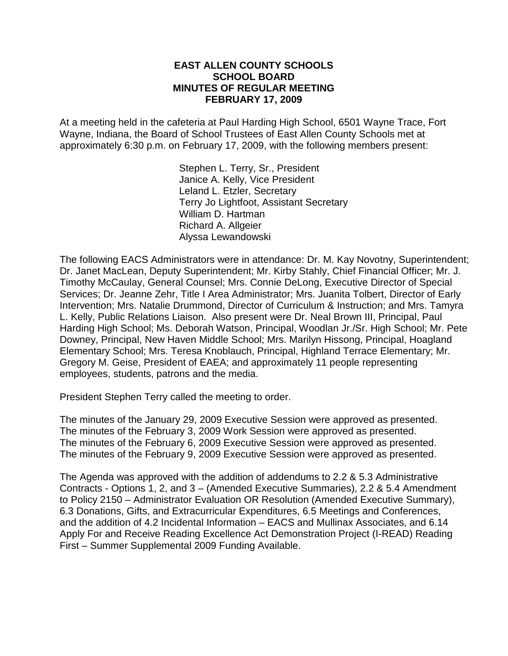#### **EAST ALLEN COUNTY SCHOOLS SCHOOL BOARD MINUTES OF REGULAR MEETING FEBRUARY 17, 2009**

At a meeting held in the cafeteria at Paul Harding High School, 6501 Wayne Trace, Fort Wayne, Indiana, the Board of School Trustees of East Allen County Schools met at approximately 6:30 p.m. on February 17, 2009, with the following members present:

> Stephen L. Terry, Sr., President Janice A. Kelly, Vice President Leland L. Etzler, Secretary Terry Jo Lightfoot, Assistant Secretary William D. Hartman Richard A. Allgeier Alyssa Lewandowski

The following EACS Administrators were in attendance: Dr. M. Kay Novotny, Superintendent; Dr. Janet MacLean, Deputy Superintendent; Mr. Kirby Stahly, Chief Financial Officer; Mr. J. Timothy McCaulay, General Counsel; Mrs. Connie DeLong, Executive Director of Special Services; Dr. Jeanne Zehr, Title I Area Administrator; Mrs. Juanita Tolbert, Director of Early Intervention; Mrs. Natalie Drummond, Director of Curriculum & Instruction; and Mrs. Tamyra L. Kelly, Public Relations Liaison. Also present were Dr. Neal Brown III, Principal, Paul Harding High School; Ms. Deborah Watson, Principal, Woodlan Jr./Sr. High School; Mr. Pete Downey, Principal, New Haven Middle School; Mrs. Marilyn Hissong, Principal, Hoagland Elementary School; Mrs. Teresa Knoblauch, Principal, Highland Terrace Elementary; Mr. Gregory M. Geise, President of EAEA; and approximately 11 people representing employees, students, patrons and the media.

President Stephen Terry called the meeting to order.

The minutes of the January 29, 2009 Executive Session were approved as presented. The minutes of the February 3, 2009 Work Session were approved as presented. The minutes of the February 6, 2009 Executive Session were approved as presented. The minutes of the February 9, 2009 Executive Session were approved as presented.

The Agenda was approved with the addition of addendums to 2.2 & 5.3 Administrative Contracts - Options 1, 2, and 3 – (Amended Executive Summaries), 2.2 & 5.4 Amendment to Policy 2150 – Administrator Evaluation OR Resolution (Amended Executive Summary), 6.3 Donations, Gifts, and Extracurricular Expenditures, 6.5 Meetings and Conferences, and the addition of 4.2 Incidental Information – EACS and Mullinax Associates, and 6.14 Apply For and Receive Reading Excellence Act Demonstration Project (I-READ) Reading First – Summer Supplemental 2009 Funding Available.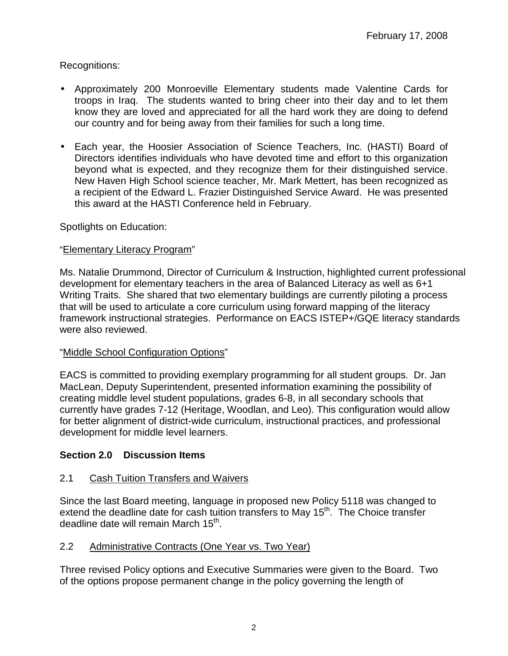## Recognitions:

- Approximately 200 Monroeville Elementary students made Valentine Cards for troops in Iraq. The students wanted to bring cheer into their day and to let them know they are loved and appreciated for all the hard work they are doing to defend our country and for being away from their families for such a long time.
- Each year, the Hoosier Association of Science Teachers, Inc. (HASTI) Board of Directors identifies individuals who have devoted time and effort to this organization beyond what is expected, and they recognize them for their distinguished service. New Haven High School science teacher, Mr. Mark Mettert, has been recognized as a recipient of the Edward L. Frazier Distinguished Service Award. He was presented this award at the HASTI Conference held in February.

Spotlights on Education:

# "Elementary Literacy Program"

Ms. Natalie Drummond, Director of Curriculum & Instruction, highlighted current professional development for elementary teachers in the area of Balanced Literacy as well as 6+1 Writing Traits. She shared that two elementary buildings are currently piloting a process that will be used to articulate a core curriculum using forward mapping of the literacy framework instructional strategies. Performance on EACS ISTEP+/GQE literacy standards were also reviewed.

### "Middle School Configuration Options"

EACS is committed to providing exemplary programming for all student groups. Dr. Jan MacLean, Deputy Superintendent, presented information examining the possibility of creating middle level student populations, grades 6-8, in all secondary schools that currently have grades 7-12 (Heritage, Woodlan, and Leo). This configuration would allow for better alignment of district-wide curriculum, instructional practices, and professional development for middle level learners.

# **Section 2.0 Discussion Items**

### 2.1 Cash Tuition Transfers and Waivers

Since the last Board meeting, language in proposed new Policy 5118 was changed to extend the deadline date for cash tuition transfers to May 15<sup>th</sup>. The Choice transfer deadline date will remain March 15<sup>th</sup>.

### 2.2 Administrative Contracts (One Year vs. Two Year)

Three revised Policy options and Executive Summaries were given to the Board. Two of the options propose permanent change in the policy governing the length of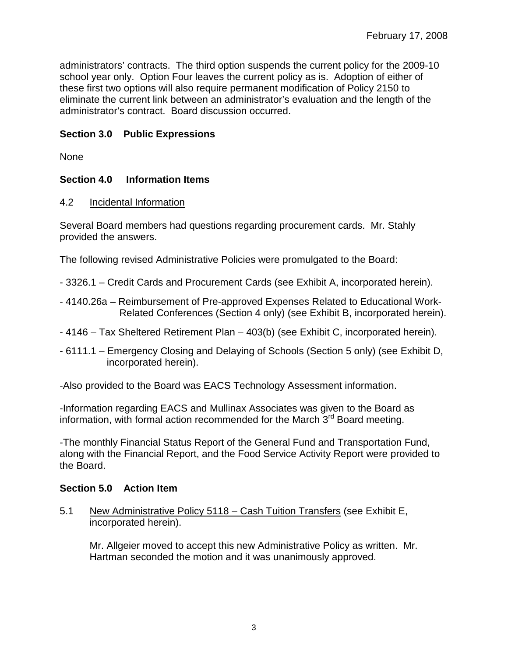administrators' contracts. The third option suspends the current policy for the 2009-10 school year only. Option Four leaves the current policy as is. Adoption of either of these first two options will also require permanent modification of Policy 2150 to eliminate the current link between an administrator's evaluation and the length of the administrator's contract. Board discussion occurred.

#### **Section 3.0 Public Expressions**

None

### **Section 4.0 Information Items**

#### 4.2 Incidental Information

Several Board members had questions regarding procurement cards. Mr. Stahly provided the answers.

The following revised Administrative Policies were promulgated to the Board:

- 3326.1 Credit Cards and Procurement Cards (see Exhibit A, incorporated herein).
- 4140.26a Reimbursement of Pre-approved Expenses Related to Educational Work-Related Conferences (Section 4 only) (see Exhibit B, incorporated herein).
- 4146 Tax Sheltered Retirement Plan 403(b) (see Exhibit C, incorporated herein).
- 6111.1 Emergency Closing and Delaying of Schools (Section 5 only) (see Exhibit D, incorporated herein).
- -Also provided to the Board was EACS Technology Assessment information.

-Information regarding EACS and Mullinax Associates was given to the Board as information, with formal action recommended for the March  $3<sup>rd</sup>$  Board meeting.

-The monthly Financial Status Report of the General Fund and Transportation Fund, along with the Financial Report, and the Food Service Activity Report were provided to the Board.

#### **Section 5.0 Action Item**

5.1 New Administrative Policy 5118 – Cash Tuition Transfers (see Exhibit E, incorporated herein).

Mr. Allgeier moved to accept this new Administrative Policy as written. Mr. Hartman seconded the motion and it was unanimously approved.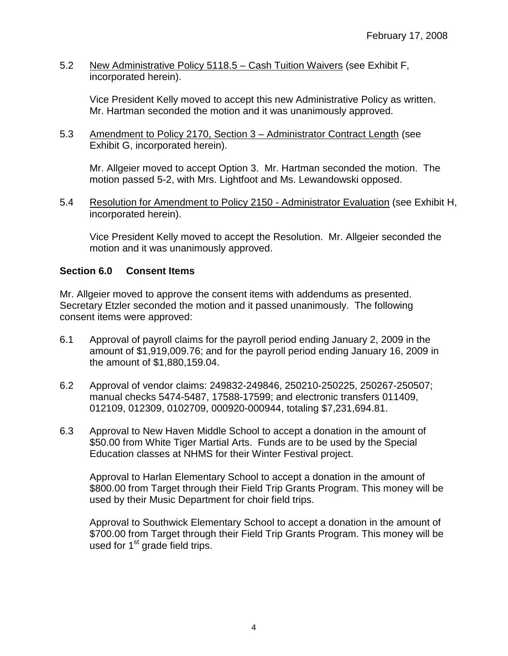5.2 New Administrative Policy 5118.5 – Cash Tuition Waivers (see Exhibit F, incorporated herein).

Vice President Kelly moved to accept this new Administrative Policy as written. Mr. Hartman seconded the motion and it was unanimously approved.

5.3 Amendment to Policy 2170, Section 3 – Administrator Contract Length (see Exhibit G, incorporated herein).

Mr. Allgeier moved to accept Option 3. Mr. Hartman seconded the motion. The motion passed 5-2, with Mrs. Lightfoot and Ms. Lewandowski opposed.

5.4 Resolution for Amendment to Policy 2150 - Administrator Evaluation (see Exhibit H, incorporated herein).

Vice President Kelly moved to accept the Resolution. Mr. Allgeier seconded the motion and it was unanimously approved.

#### **Section 6.0 Consent Items**

Mr. Allgeier moved to approve the consent items with addendums as presented. Secretary Etzler seconded the motion and it passed unanimously. The following consent items were approved:

- 6.1 Approval of payroll claims for the payroll period ending January 2, 2009 in the amount of \$1,919,009.76; and for the payroll period ending January 16, 2009 in the amount of \$1,880,159.04.
- 6.2 Approval of vendor claims: 249832-249846, 250210-250225, 250267-250507; manual checks 5474-5487, 17588-17599; and electronic transfers 011409, 012109, 012309, 0102709, 000920-000944, totaling \$7,231,694.81.
- 6.3 Approval to New Haven Middle School to accept a donation in the amount of \$50.00 from White Tiger Martial Arts. Funds are to be used by the Special Education classes at NHMS for their Winter Festival project.

Approval to Harlan Elementary School to accept a donation in the amount of \$800.00 from Target through their Field Trip Grants Program. This money will be used by their Music Department for choir field trips.

Approval to Southwick Elementary School to accept a donation in the amount of \$700.00 from Target through their Field Trip Grants Program. This money will be used for  $1<sup>st</sup>$  grade field trips.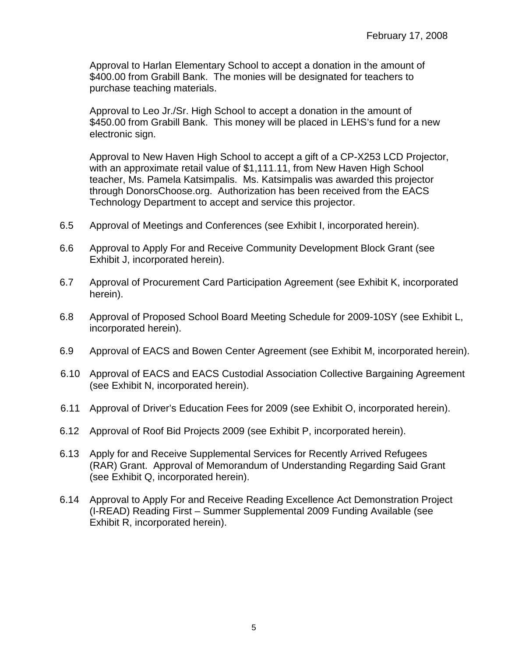Approval to Harlan Elementary School to accept a donation in the amount of \$400.00 from Grabill Bank. The monies will be designated for teachers to purchase teaching materials.

Approval to Leo Jr./Sr. High School to accept a donation in the amount of \$450.00 from Grabill Bank. This money will be placed in LEHS's fund for a new electronic sign.

 Approval to New Haven High School to accept a gift of a CP-X253 LCD Projector, with an approximate retail value of \$1,111.11, from New Haven High School teacher, Ms. Pamela Katsimpalis. Ms. Katsimpalis was awarded this projector through DonorsChoose.org. Authorization has been received from the EACS Technology Department to accept and service this projector.

- 6.5 Approval of Meetings and Conferences (see Exhibit I, incorporated herein).
- 6.6 Approval to Apply For and Receive Community Development Block Grant (see Exhibit J, incorporated herein).
- 6.7 Approval of Procurement Card Participation Agreement (see Exhibit K, incorporated herein).
- 6.8 Approval of Proposed School Board Meeting Schedule for 2009-10SY (see Exhibit L, incorporated herein).
- 6.9 Approval of EACS and Bowen Center Agreement (see Exhibit M, incorporated herein).
- 6.10 Approval of EACS and EACS Custodial Association Collective Bargaining Agreement (see Exhibit N, incorporated herein).
- 6.11 Approval of Driver's Education Fees for 2009 (see Exhibit O, incorporated herein).
- 6.12 Approval of Roof Bid Projects 2009 (see Exhibit P, incorporated herein).
- 6.13 Apply for and Receive Supplemental Services for Recently Arrived Refugees (RAR) Grant. Approval of Memorandum of Understanding Regarding Said Grant (see Exhibit Q, incorporated herein).
- 6.14 Approval to Apply For and Receive Reading Excellence Act Demonstration Project (I-READ) Reading First – Summer Supplemental 2009 Funding Available (see Exhibit R, incorporated herein).